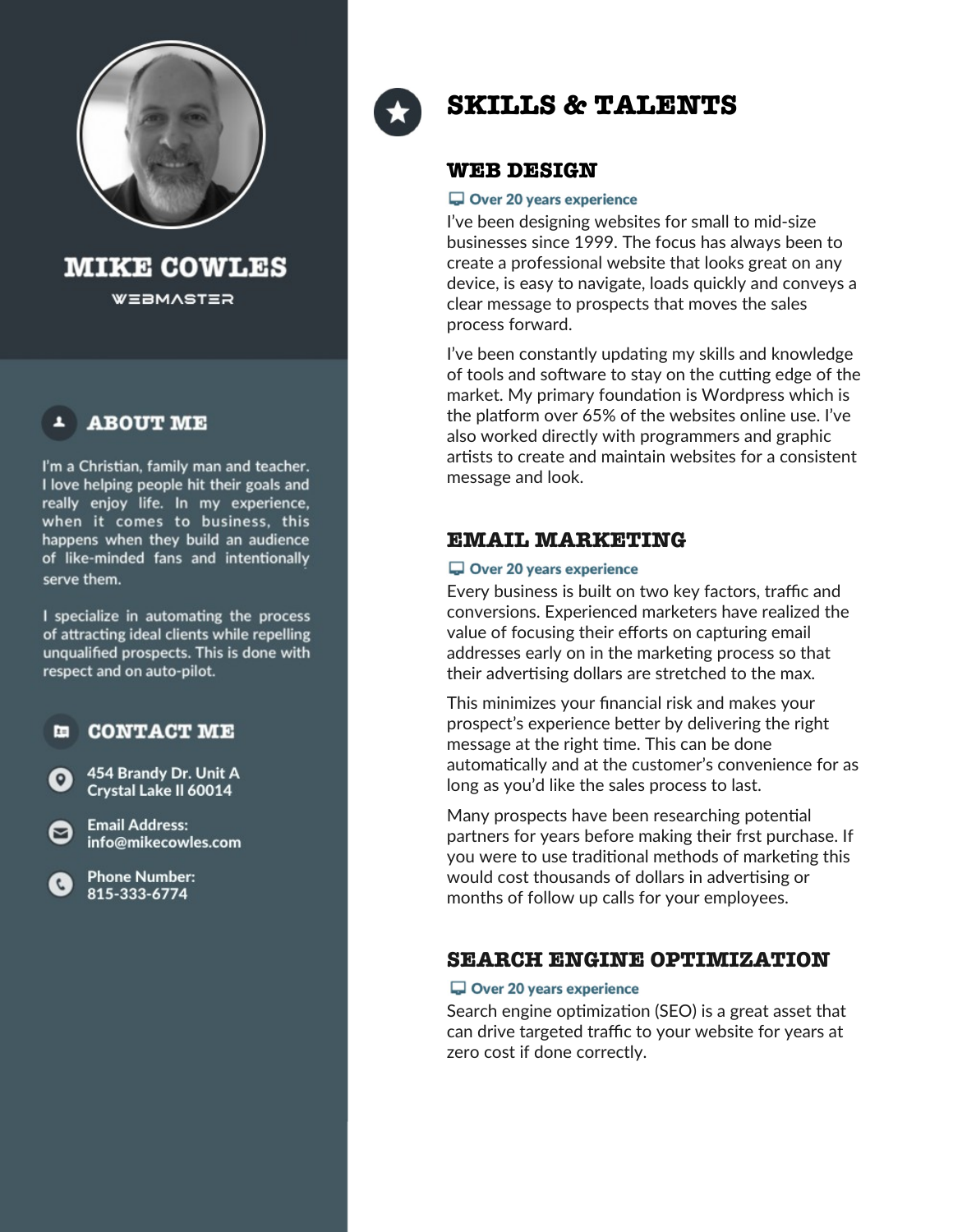

**MIKE COWLES** 

**WEBMASTER** 

## **ABOUT ME**

I'm a Christian, family man and teacher. I love helping people hit their goals and really enjoy life. In my experience, when it comes to business, this happens when they build an audience of like-minded fans and intentionally serve them.

I specialize in automating the process of attracting ideal clients while repelling unqualified prospects. This is done with respect and on auto-pilot.

#### **CONTACT ME** 厘

454 Brandy Dr. Unit A Crystal Lake II 60014

**Email Address:** info@mikecowles.com

**Phone Number:** 815-333-6774

罓



# **SKILLS & TALENTS**

### **WEB DESIGN**

### Over 20 years experience

I've been designing websites for small to mid-size businesses since 1999. The focus has always been to create a professional website that looks great on any device, is easy to navigate, loads quickly and conveys a clear message to prospects that moves the sales process forward.

I've been constantly updating my skills and knowledge of tools and software to stay on the cutting edge of the market. My primary foundation is Wordpress which is the platform over 65% of the websites online use. I've also worked directly with programmers and graphic artists to create and maintain websites for a consistent message and look.

### **EMAIL MARKETING**

### Over 20 years experience

Every business is built on two key factors, traffic and conversions. Experienced marketers have realized the value of focusing their efforts on capturing email addresses early on in the marketing process so that their advertising dollars are stretched to the max.

This minimizes your fnancial risk and makes your prospect's experience better by delivering the right message at the right time. This can be done automatically and at the customer's convenience for as long as you'd like the sales process to last.

Many prospects have been researching potental partners for years before making their frst purchase. If you were to use traditional methods of marketing this would cost thousands of dollars in advertsing or months of follow up calls for your employees.

## **SEARCH ENGINE OPTIMIZATION**

### Over 20 years experience

Search engine optimization (SEO) is a great asset that can drive targeted traffic to your website for years at zero cost if done correctly.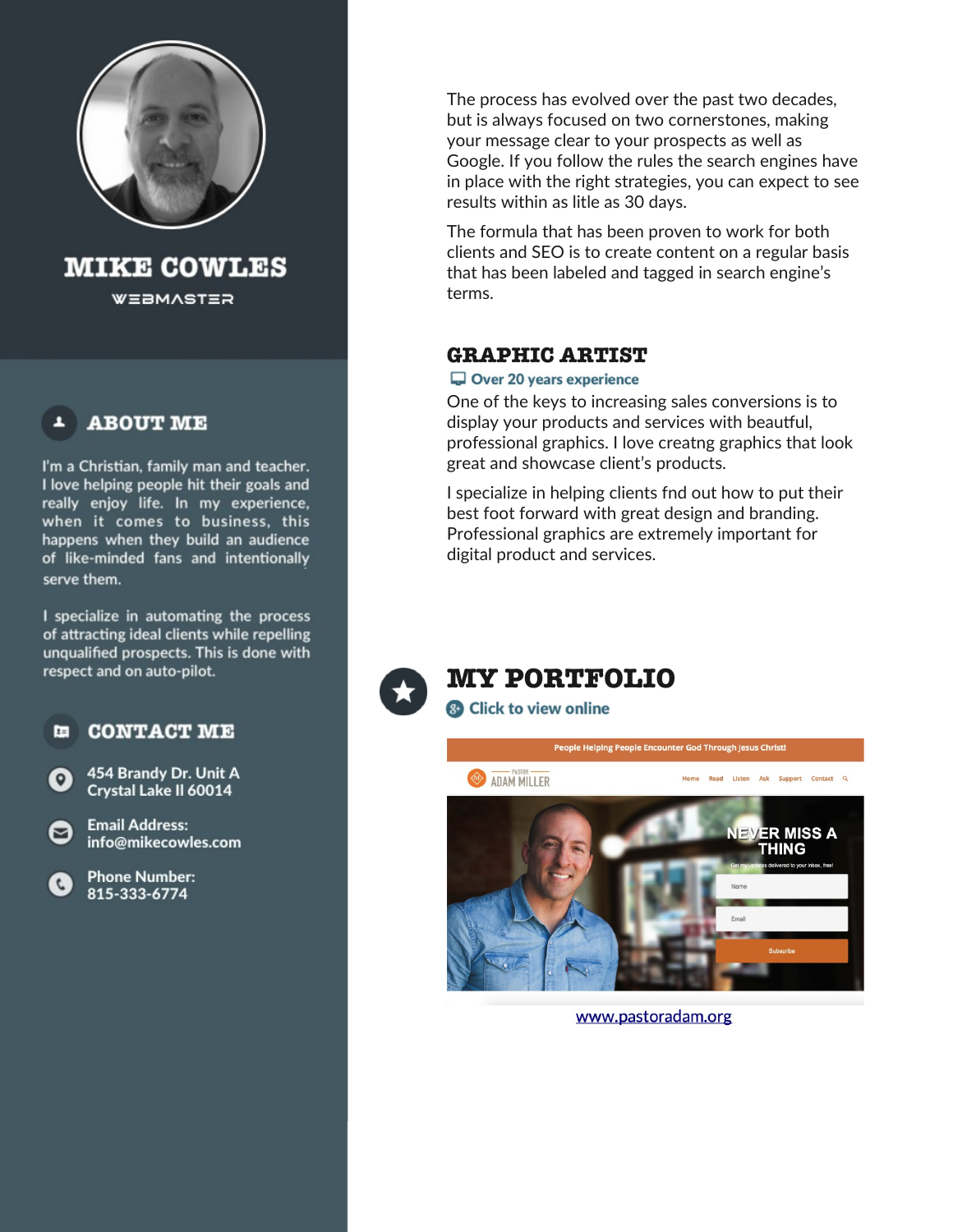

**MIKE COWLES** 

**WEBMASTER** 

## **ABOUT ME**

I'm a Christian, family man and teacher. I love helping people hit their goals and really enjoy life. In my experience, when it comes to business, this happens when they build an audience of like-minded fans and intentionally serve them.

I specialize in automating the process of attracting ideal clients while repelling unqualified prospects. This is done with respect and on auto-pilot.

**CONTACT ME**  $\mathbf{r}$ 

454 Brandy Dr. Unit A Crystal Lake II 60014

**Email Address:** info@mikecowles.com



罓

The process has evolved over the past two decades, but is always focused on two cornerstones, making your message clear to your prospects as well as Google. If you follow the rules the search engines have in place with the right strategies, you can expect to see results within as litle as 30 days.

The formula that has been proven to work for both clients and SEO is to create content on a regular basis that has been labeled and tagged in search engine's terms.

## **GRAPHIC ARTIST**

### Over 20 years experience

One of the keys to increasing sales conversions is to display your products and services with beautful, professional graphics. I love creatng graphics that look great and showcase client's products.

I specialize in helping clients fnd out how to put their best foot forward with great design and branding. Professional graphics are extremely important for digital product and services.





www.pastoradam.org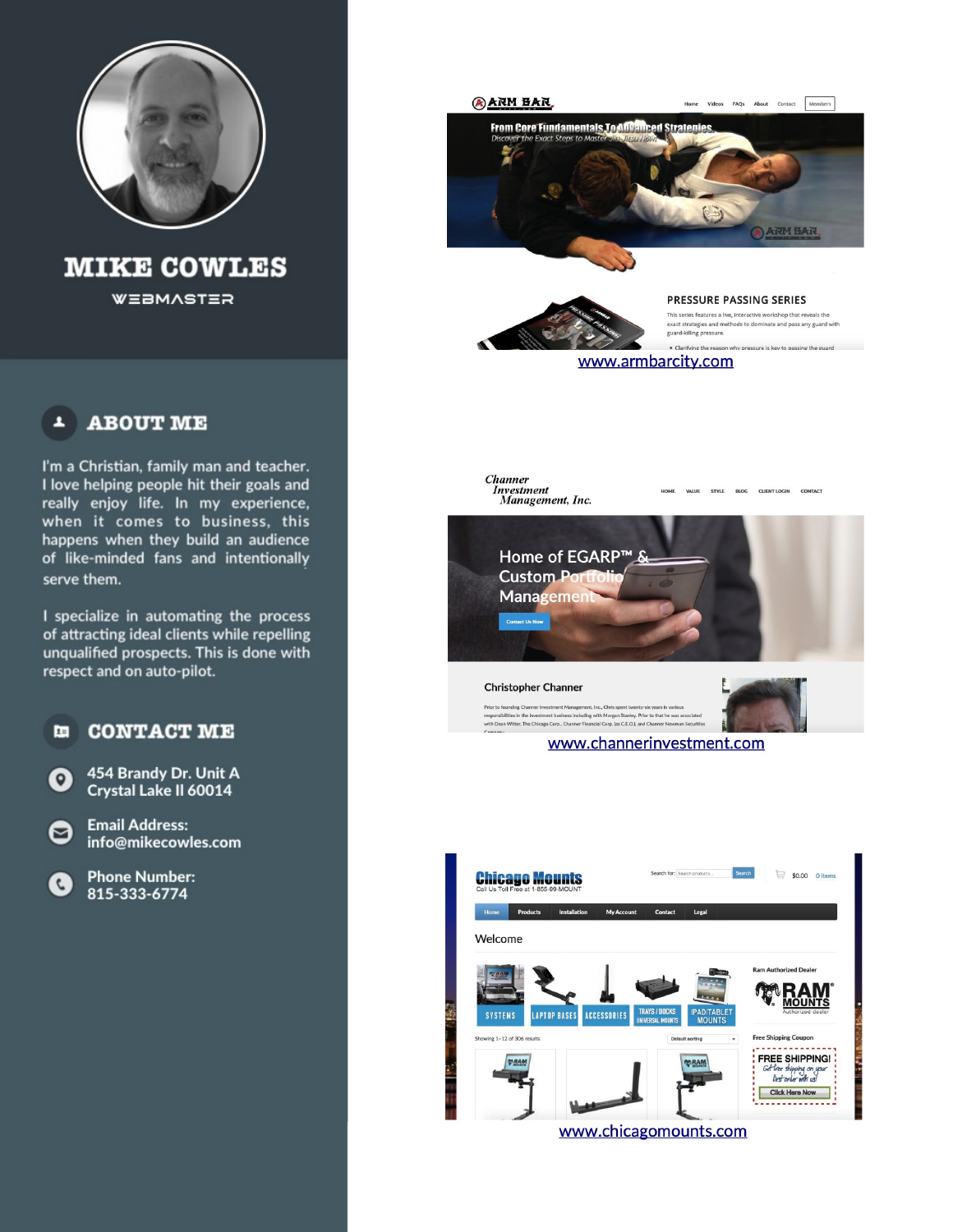

**MIKE COWLES** WEBMASTER

#### **ABOUT ME** A

I'm a Christian, family man and teacher. I love helping people hit their goals and really enjoy life. In my experience, when it comes to business, this happens when they build an audience of like-minded fans and intentionally serve them.

I specialize in automating the process of attracting ideal clients while repelling unqualified prospects. This is done with respect and on auto-pilot.

面 **CONTACT ME** 

454 Brandy Dr. Unit A  $\bullet$ Crystal Lake II 60014

Ø

**Email Address:** info@mikecowles.com

**Phone Number:**  $\mathbf{C}$ 815-333-6774



**Channer** *Investment*<br>Management, Inc. HOME VALUE STYLE BLOG CLIENT LOGIN CONTACT



www.channerinvestment.com



www.chicagomounts.com